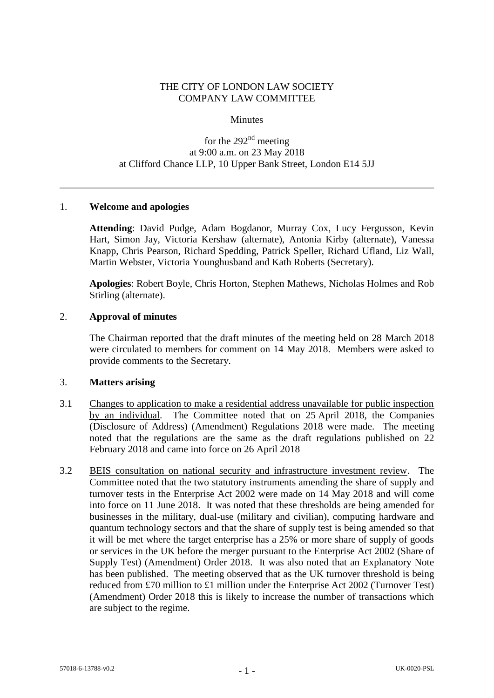## THE CITY OF LONDON LAW SOCIETY COMPANY LAW COMMITTEE

#### **Minutes**

# for the  $292<sup>nd</sup>$  meeting at 9:00 a.m. on 23 May 2018 at Clifford Chance LLP, 10 Upper Bank Street, London E14 5JJ

### 1. **Welcome and apologies**

**Attending**: David Pudge, Adam Bogdanor, Murray Cox, Lucy Fergusson, Kevin Hart, Simon Jay, Victoria Kershaw (alternate), Antonia Kirby (alternate), Vanessa Knapp, Chris Pearson, Richard Spedding, Patrick Speller, Richard Ufland, Liz Wall, Martin Webster, Victoria Younghusband and Kath Roberts (Secretary).

**Apologies**: Robert Boyle, Chris Horton, Stephen Mathews, Nicholas Holmes and Rob Stirling (alternate).

#### 2. **Approval of minutes**

The Chairman reported that the draft minutes of the meeting held on 28 March 2018 were circulated to members for comment on 14 May 2018. Members were asked to provide comments to the Secretary.

#### 3. **Matters arising**

- 3.1 Changes to application to make a residential address unavailable for public inspection by an individual. The Committee noted that on 25 April 2018, the Companies (Disclosure of Address) (Amendment) Regulations 2018 were made. The meeting noted that the regulations are the same as the draft regulations published on 22 February 2018 and came into force on 26 April 2018
- 3.2 BEIS consultation on national security and infrastructure investment review. The Committee noted that the two statutory instruments amending the share of supply and turnover tests in the Enterprise Act 2002 were made on 14 May 2018 and will come into force on 11 June 2018. It was noted that these thresholds are being amended for businesses in the military, dual-use (military and civilian), computing hardware and quantum technology sectors and that the share of supply test is being amended so that it will be met where the target enterprise has a 25% or more share of supply of goods or services in the UK before the merger pursuant to the Enterprise Act 2002 (Share of Supply Test) (Amendment) Order 2018. It was also noted that an Explanatory Note has been published. The meeting observed that as the UK turnover threshold is being reduced from £70 million to £1 million under the Enterprise Act 2002 (Turnover Test) (Amendment) Order 2018 this is likely to increase the number of transactions which are subject to the regime.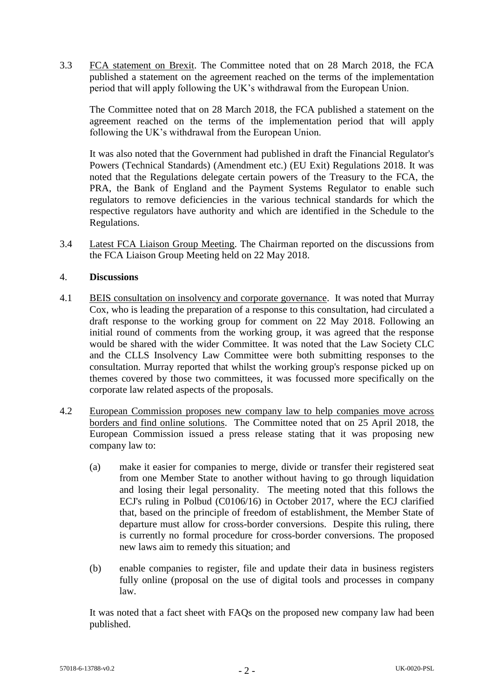3.3 FCA statement on Brexit. The Committee noted that on 28 March 2018, the FCA published a statement on the agreement reached on the terms of the implementation period that will apply following the UK's withdrawal from the European Union.

The Committee noted that on 28 March 2018, the FCA published a statement on the agreement reached on the terms of the implementation period that will apply following the UK's withdrawal from the European Union.

It was also noted that the Government had published in draft the Financial Regulator's Powers (Technical Standards) (Amendment etc.) (EU Exit) Regulations 2018. It was noted that the Regulations delegate certain powers of the Treasury to the FCA, the PRA, the Bank of England and the Payment Systems Regulator to enable such regulators to remove deficiencies in the various technical standards for which the respective regulators have authority and which are identified in the Schedule to the Regulations.

3.4 Latest FCA Liaison Group Meeting. The Chairman reported on the discussions from the FCA Liaison Group Meeting held on 22 May 2018.

### 4. **Discussions**

- 4.1 BEIS consultation on insolvency and corporate governance. It was noted that Murray Cox, who is leading the preparation of a response to this consultation, had circulated a draft response to the working group for comment on 22 May 2018. Following an initial round of comments from the working group, it was agreed that the response would be shared with the wider Committee. It was noted that the Law Society CLC and the CLLS Insolvency Law Committee were both submitting responses to the consultation. Murray reported that whilst the working group's response picked up on themes covered by those two committees, it was focussed more specifically on the corporate law related aspects of the proposals.
- 4.2 European Commission proposes new company law to help companies move across borders and find online solutions. The Committee noted that on 25 April 2018, the European Commission issued a press release stating that it was proposing new company law to:
	- (a) make it easier for companies to merge, divide or transfer their registered seat from one Member State to another without having to go through liquidation and losing their legal personality. The meeting noted that this follows the ECJ's ruling in Polbud (C0106/16) in October 2017, where the ECJ clarified that, based on the principle of freedom of establishment, the Member State of departure must allow for cross-border conversions. Despite this ruling, there is currently no formal procedure for cross-border conversions. The proposed new laws aim to remedy this situation; and
	- (b) enable companies to register, file and update their data in business registers fully online (proposal on the use of digital tools and processes in company law.

It was noted that a fact sheet with FAQs on the proposed new company law had been published.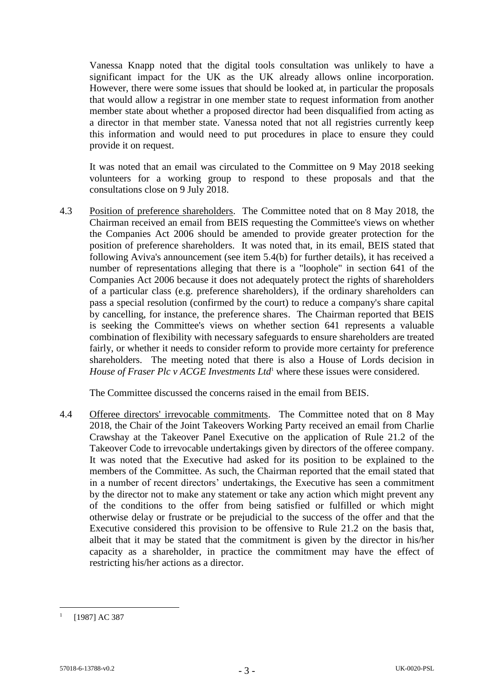Vanessa Knapp noted that the digital tools consultation was unlikely to have a significant impact for the UK as the UK already allows online incorporation. However, there were some issues that should be looked at, in particular the proposals that would allow a registrar in one member state to request information from another member state about whether a proposed director had been disqualified from acting as a director in that member state. Vanessa noted that not all registries currently keep this information and would need to put procedures in place to ensure they could provide it on request.

It was noted that an email was circulated to the Committee on 9 May 2018 seeking volunteers for a working group to respond to these proposals and that the consultations close on 9 July 2018.

<span id="page-2-0"></span>4.3 Position of preference shareholders. The Committee noted that on 8 May 2018, the Chairman received an email from BEIS requesting the Committee's views on whether the Companies Act 2006 should be amended to provide greater protection for the position of preference shareholders. It was noted that, in its email, BEIS stated that following Aviva's announcement (see item 5.4(b) for further details), it has received a number of representations alleging that there is a "loophole" in section 641 of the Companies Act 2006 because it does not adequately protect the rights of shareholders of a particular class (e.g. preference shareholders), if the ordinary shareholders can pass a special resolution (confirmed by the court) to reduce a company's share capital by cancelling, for instance, the preference shares. The Chairman reported that BEIS is seeking the Committee's views on whether section 641 represents a valuable combination of flexibility with necessary safeguards to ensure shareholders are treated fairly, or whether it needs to consider reform to provide more certainty for preference shareholders. The meeting noted that there is also a House of Lords decision in *House of Fraser Plc v ACGE Investments Ltd*<sup>1</sup> where these issues were considered.

The Committee discussed the concerns raised in the email from BEIS.

4.4 Offeree directors' irrevocable commitments. The Committee noted that on 8 May 2018, the Chair of the Joint Takeovers Working Party received an email from Charlie Crawshay at the Takeover Panel Executive on the application of Rule 21.2 of the Takeover Code to irrevocable undertakings given by directors of the offeree company. It was noted that the Executive had asked for its position to be explained to the members of the Committee. As such, the Chairman reported that the email stated that in a number of recent directors' undertakings, the Executive has seen a commitment by the director not to make any statement or take any action which might prevent any of the conditions to the offer from being satisfied or fulfilled or which might otherwise delay or frustrate or be prejudicial to the success of the offer and that the Executive considered this provision to be offensive to Rule 21.2 on the basis that, albeit that it may be stated that the commitment is given by the director in his/her capacity as a shareholder, in practice the commitment may have the effect of restricting his/her actions as a director.

1

<sup>1</sup> [1987] AC 387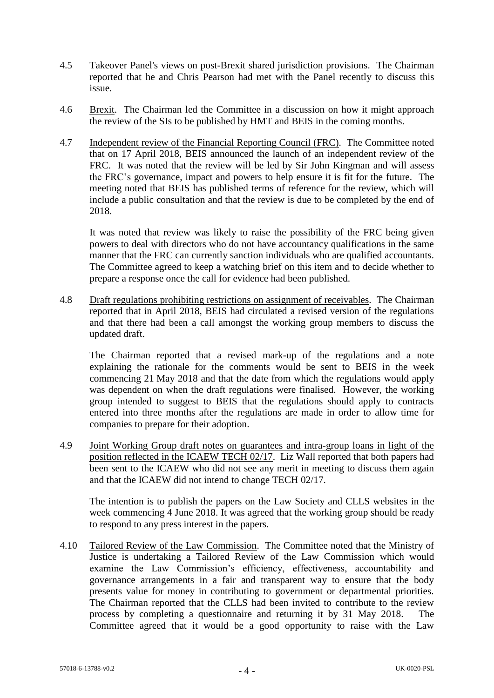- 4.5 Takeover Panel's views on post-Brexit shared jurisdiction provisions. The Chairman reported that he and Chris Pearson had met with the Panel recently to discuss this issue.
- 4.6 Brexit. The Chairman led the Committee in a discussion on how it might approach the review of the SIs to be published by HMT and BEIS in the coming months.
- 4.7 Independent review of the Financial Reporting Council (FRC)*.* The Committee noted that on 17 April 2018, BEIS announced the launch of an independent review of the FRC. It was noted that the review will be led by Sir John Kingman and will assess the FRC's governance, impact and powers to help ensure it is fit for the future. The meeting noted that BEIS has published terms of reference for the review, which will include a public consultation and that the review is due to be completed by the end of 2018.

It was noted that review was likely to raise the possibility of the FRC being given powers to deal with directors who do not have accountancy qualifications in the same manner that the FRC can currently sanction individuals who are qualified accountants. The Committee agreed to keep a watching brief on this item and to decide whether to prepare a response once the call for evidence had been published.

4.8 Draft regulations prohibiting restrictions on assignment of receivables*.* The Chairman reported that in April 2018, BEIS had circulated a revised version of the regulations and that there had been a call amongst the working group members to discuss the updated draft.

The Chairman reported that a revised mark-up of the regulations and a note explaining the rationale for the comments would be sent to BEIS in the week commencing 21 May 2018 and that the date from which the regulations would apply was dependent on when the draft regulations were finalised. However, the working group intended to suggest to BEIS that the regulations should apply to contracts entered into three months after the regulations are made in order to allow time for companies to prepare for their adoption.

4.9 Joint Working Group draft notes on guarantees and intra-group loans in light of the position reflected in the ICAEW TECH 02/17. Liz Wall reported that both papers had been sent to the ICAEW who did not see any merit in meeting to discuss them again and that the ICAEW did not intend to change TECH 02/17.

The intention is to publish the papers on the Law Society and CLLS websites in the week commencing 4 June 2018. It was agreed that the working group should be ready to respond to any press interest in the papers.

4.10 Tailored Review of the Law Commission. The Committee noted that the Ministry of Justice is undertaking a Tailored Review of the Law Commission which would examine the Law Commission's efficiency, effectiveness, accountability and governance arrangements in a fair and transparent way to ensure that the body presents value for money in contributing to government or departmental priorities. The Chairman reported that the CLLS had been invited to contribute to the review process by completing a questionnaire and returning it by 31 May 2018. The Committee agreed that it would be a good opportunity to raise with the Law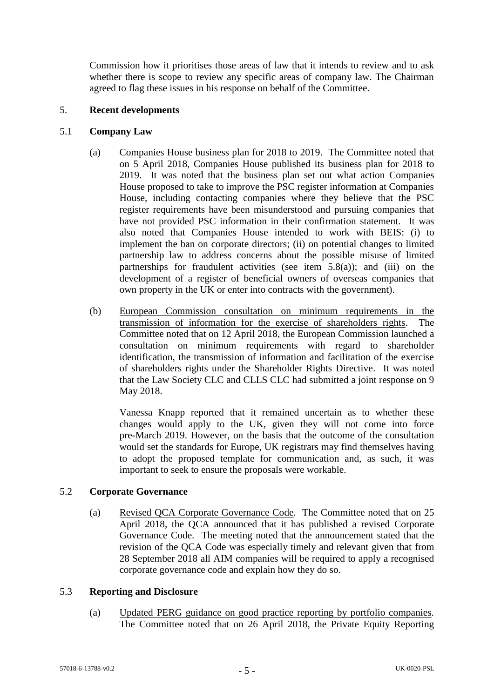Commission how it prioritises those areas of law that it intends to review and to ask whether there is scope to review any specific areas of company law. The Chairman agreed to flag these issues in his response on behalf of the Committee.

## 5. **Recent developments**

# 5.1 **Company Law**

- (a) Companies House business plan for 2018 to 2019. The Committee noted that on 5 April 2018, Companies House published its business plan for 2018 to 2019. It was noted that the business plan set out what action Companies House proposed to take to improve the PSC register information at Companies House, including contacting companies where they believe that the PSC register requirements have been misunderstood and pursuing companies that have not provided PSC information in their confirmation statement. It was also noted that Companies House intended to work with BEIS: (i) to implement the ban on corporate directors; (ii) on potential changes to limited partnership law to address concerns about the possible misuse of limited partnerships for fraudulent activities (see item  $5.8(a)$ ); and (iii) on the development of a register of beneficial owners of overseas companies that own property in the UK or enter into contracts with the government).
- (b) European Commission consultation on minimum requirements in the transmission of information for the exercise of shareholders rights. The Committee noted that on 12 April 2018, the European Commission launched a consultation on minimum requirements with regard to shareholder identification, the transmission of information and facilitation of the exercise of shareholders rights under the Shareholder Rights Directive. It was noted that the Law Society CLC and CLLS CLC had submitted a joint response on 9 May 2018.

Vanessa Knapp reported that it remained uncertain as to whether these changes would apply to the UK, given they will not come into force pre-March 2019. However, on the basis that the outcome of the consultation would set the standards for Europe, UK registrars may find themselves having to adopt the proposed template for communication and, as such, it was important to seek to ensure the proposals were workable.

### 5.2 **Corporate Governance**

(a) Revised QCA Corporate Governance Code*.* The Committee noted that on 25 April 2018, the QCA announced that it has published a revised Corporate Governance Code. The meeting noted that the announcement stated that the revision of the QCA Code was especially timely and relevant given that from 28 September 2018 all AIM companies will be required to apply a recognised corporate governance code and explain how they do so.

### 5.3 **Reporting and Disclosure**

(a) Updated PERG guidance on good practice reporting by portfolio companies*.*  The Committee noted that on 26 April 2018, the Private Equity Reporting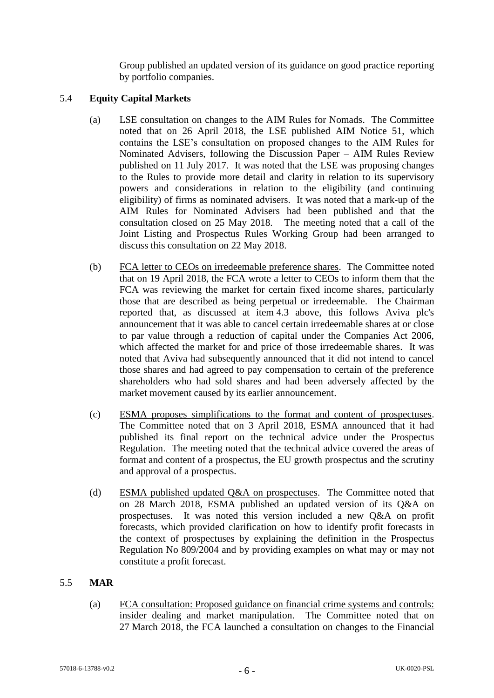Group published an updated version of its guidance on good practice reporting by portfolio companies.

# 5.4 **Equity Capital Markets**

- (a) LSE consultation on changes to the AIM Rules for Nomads. The Committee noted that on 26 April 2018, the LSE published AIM Notice 51, which contains the LSE's consultation on proposed changes to the AIM Rules for Nominated Advisers, following the Discussion Paper – AIM Rules Review published on 11 July 2017. It was noted that the LSE was proposing changes to the Rules to provide more detail and clarity in relation to its supervisory powers and considerations in relation to the eligibility (and continuing eligibility) of firms as nominated advisers. It was noted that a mark-up of the AIM Rules for Nominated Advisers had been published and that the consultation closed on 25 May 2018. The meeting noted that a call of the Joint Listing and Prospectus Rules Working Group had been arranged to discuss this consultation on 22 May 2018.
- (b) FCA letter to CEOs on irredeemable preference shares. The Committee noted that on 19 April 2018, the FCA wrote a letter to CEOs to inform them that the FCA was reviewing the market for certain fixed income shares, particularly those that are described as being perpetual or irredeemable. The Chairman reported that, as discussed at item [4.3](#page-2-0) above, this follows Aviva plc's announcement that it was able to cancel certain irredeemable shares at or close to par value through a reduction of capital under the Companies Act 2006, which affected the market for and price of those irredeemable shares. It was noted that Aviva had subsequently announced that it did not intend to cancel those shares and had agreed to pay compensation to certain of the preference shareholders who had sold shares and had been adversely affected by the market movement caused by its earlier announcement.
- (c) ESMA proposes simplifications to the format and content of prospectuses. The Committee noted that on 3 April 2018, ESMA announced that it had published its final report on the technical advice under the Prospectus Regulation. The meeting noted that the technical advice covered the areas of format and content of a prospectus, the EU growth prospectus and the scrutiny and approval of a prospectus.
- (d) ESMA published updated Q&A on prospectuses. The Committee noted that on 28 March 2018, ESMA published an updated version of its Q&A on prospectuses. It was noted this version included a new Q&A on profit forecasts, which provided clarification on how to identify profit forecasts in the context of prospectuses by explaining the definition in the Prospectus Regulation No 809/2004 and by providing examples on what may or may not constitute a profit forecast.

# 5.5 **MAR**

(a) FCA consultation: Proposed guidance on financial crime systems and controls: insider dealing and market manipulation. The Committee noted that on 27 March 2018, the FCA launched a consultation on changes to the Financial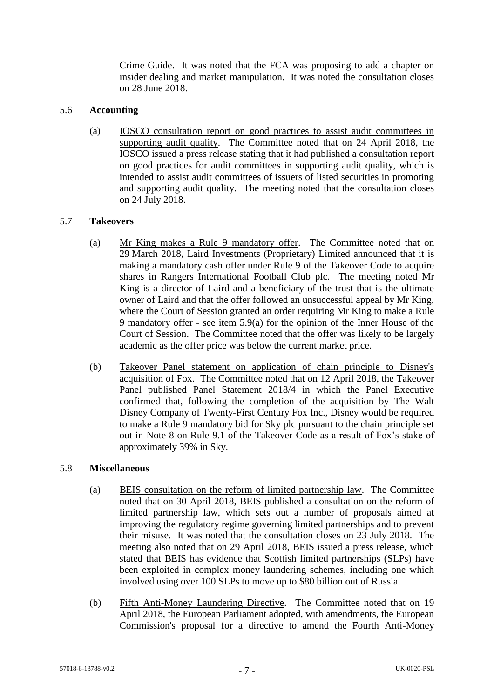Crime Guide. It was noted that the FCA was proposing to add a chapter on insider dealing and market manipulation. It was noted the consultation closes on 28 June 2018.

### 5.6 **Accounting**

(a) IOSCO consultation report on good practices to assist audit committees in supporting audit quality. The Committee noted that on 24 April 2018, the IOSCO issued a press release stating that it had published a consultation report on good practices for audit committees in supporting audit quality, which is intended to assist audit committees of issuers of listed securities in promoting and supporting audit quality. The meeting noted that the consultation closes on 24 July 2018.

# 5.7 **Takeovers**

- (a) Mr King makes a Rule 9 mandatory offer. The Committee noted that on 29 March 2018, Laird Investments (Proprietary) Limited announced that it is making a mandatory cash offer under Rule 9 of the Takeover Code to acquire shares in Rangers International Football Club plc. The meeting noted Mr King is a director of Laird and a beneficiary of the trust that is the ultimate owner of Laird and that the offer followed an unsuccessful appeal by Mr King, where the Court of Session granted an order requiring Mr King to make a Rule 9 mandatory offer - see item 5.9(a) for the opinion of the Inner House of the Court of Session. The Committee noted that the offer was likely to be largely academic as the offer price was below the current market price.
- (b) Takeover Panel statement on application of chain principle to Disney's acquisition of Fox. The Committee noted that on 12 April 2018, the Takeover Panel published Panel Statement 2018/4 in which the Panel Executive confirmed that, following the completion of the acquisition by The Walt Disney Company of Twenty-First Century Fox Inc., Disney would be required to make a Rule 9 mandatory bid for Sky plc pursuant to the chain principle set out in Note 8 on Rule 9.1 of the Takeover Code as a result of Fox's stake of approximately 39% in Sky.

### 5.8 **Miscellaneous**

- (a) BEIS consultation on the reform of limited partnership law. The Committee noted that on 30 April 2018, BEIS published a consultation on the reform of limited partnership law, which sets out a number of proposals aimed at improving the regulatory regime governing limited partnerships and to prevent their misuse. It was noted that the consultation closes on 23 July 2018. The meeting also noted that on 29 April 2018, BEIS issued a press release, which stated that BEIS has evidence that Scottish limited partnerships (SLPs) have been exploited in complex money laundering schemes, including one which involved using over 100 SLPs to move up to \$80 billion out of Russia.
- (b) Fifth Anti-Money Laundering Directive. The Committee noted that on 19 April 2018, the European Parliament adopted, with amendments, the European Commission's proposal for a directive to amend the Fourth Anti-Money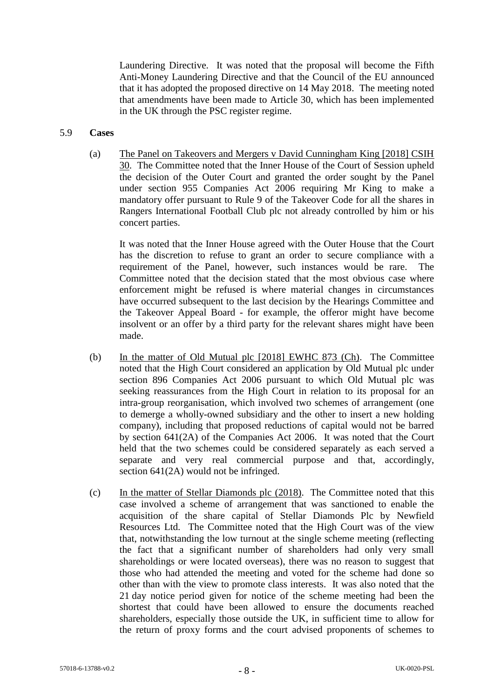Laundering Directive. It was noted that the proposal will become the Fifth Anti-Money Laundering Directive and that the Council of the EU announced that it has adopted the proposed directive on 14 May 2018. The meeting noted that amendments have been made to Article 30, which has been implemented in the UK through the PSC register regime.

#### 5.9 **Cases**

(a) The Panel on Takeovers and Mergers v David Cunningham King [2018] CSIH 30. The Committee noted that the Inner House of the Court of Session upheld the decision of the Outer Court and granted the order sought by the Panel under section 955 Companies Act 2006 requiring Mr King to make a mandatory offer pursuant to Rule 9 of the Takeover Code for all the shares in Rangers International Football Club plc not already controlled by him or his concert parties.

It was noted that the Inner House agreed with the Outer House that the Court has the discretion to refuse to grant an order to secure compliance with a requirement of the Panel, however, such instances would be rare. The Committee noted that the decision stated that the most obvious case where enforcement might be refused is where material changes in circumstances have occurred subsequent to the last decision by the Hearings Committee and the Takeover Appeal Board - for example, the offeror might have become insolvent or an offer by a third party for the relevant shares might have been made.

- (b) In the matter of Old Mutual plc [2018] EWHC 873 (Ch). The Committee noted that the High Court considered an application by Old Mutual plc under section 896 Companies Act 2006 pursuant to which Old Mutual plc was seeking reassurances from the High Court in relation to its proposal for an intra-group reorganisation, which involved two schemes of arrangement (one to demerge a wholly-owned subsidiary and the other to insert a new holding company), including that proposed reductions of capital would not be barred by section 641(2A) of the Companies Act 2006. It was noted that the Court held that the two schemes could be considered separately as each served a separate and very real commercial purpose and that, accordingly, section 641(2A) would not be infringed.
- (c) In the matter of Stellar Diamonds plc (2018). The Committee noted that this case involved a scheme of arrangement that was sanctioned to enable the acquisition of the share capital of Stellar Diamonds Plc by Newfield Resources Ltd. The Committee noted that the High Court was of the view that, notwithstanding the low turnout at the single scheme meeting (reflecting the fact that a significant number of shareholders had only very small shareholdings or were located overseas), there was no reason to suggest that those who had attended the meeting and voted for the scheme had done so other than with the view to promote class interests. It was also noted that the 21 day notice period given for notice of the scheme meeting had been the shortest that could have been allowed to ensure the documents reached shareholders, especially those outside the UK, in sufficient time to allow for the return of proxy forms and the court advised proponents of schemes to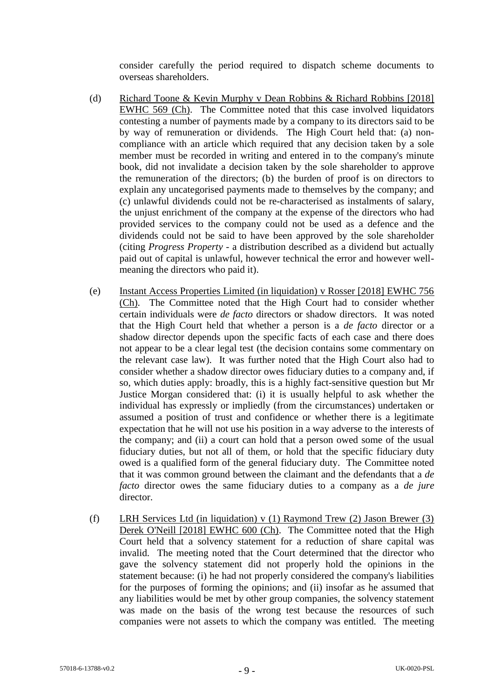consider carefully the period required to dispatch scheme documents to overseas shareholders.

- (d) Richard Toone & Kevin Murphy v Dean Robbins & Richard Robbins [2018] EWHC 569 (Ch). The Committee noted that this case involved liquidators contesting a number of payments made by a company to its directors said to be by way of remuneration or dividends. The High Court held that: (a) noncompliance with an article which required that any decision taken by a sole member must be recorded in writing and entered in to the company's minute book, did not invalidate a decision taken by the sole shareholder to approve the remuneration of the directors; (b) the burden of proof is on directors to explain any uncategorised payments made to themselves by the company; and (c) unlawful dividends could not be re-characterised as instalments of salary, the unjust enrichment of the company at the expense of the directors who had provided services to the company could not be used as a defence and the dividends could not be said to have been approved by the sole shareholder (citing *Progress Property* - a distribution described as a dividend but actually paid out of capital is unlawful, however technical the error and however wellmeaning the directors who paid it).
- (e) Instant Access Properties Limited (in liquidation) v Rosser [2018] EWHC 756 (Ch). The Committee noted that the High Court had to consider whether certain individuals were *de facto* directors or shadow directors. It was noted that the High Court held that whether a person is a *de facto* director or a shadow director depends upon the specific facts of each case and there does not appear to be a clear legal test (the decision contains some commentary on the relevant case law). It was further noted that the High Court also had to consider whether a shadow director owes fiduciary duties to a company and, if so, which duties apply: broadly, this is a highly fact-sensitive question but Mr Justice Morgan considered that: (i) it is usually helpful to ask whether the individual has expressly or impliedly (from the circumstances) undertaken or assumed a position of trust and confidence or whether there is a legitimate expectation that he will not use his position in a way adverse to the interests of the company; and (ii) a court can hold that a person owed some of the usual fiduciary duties, but not all of them, or hold that the specific fiduciary duty owed is a qualified form of the general fiduciary duty. The Committee noted that it was common ground between the claimant and the defendants that a *de facto* director owes the same fiduciary duties to a company as a *de jure*  director.
- (f) LRH Services Ltd (in liquidation) v (1) Raymond Trew (2) Jason Brewer (3) Derek O'Neill [2018] EWHC 600 (Ch). The Committee noted that the High Court held that a solvency statement for a reduction of share capital was invalid. The meeting noted that the Court determined that the director who gave the solvency statement did not properly hold the opinions in the statement because: (i) he had not properly considered the company's liabilities for the purposes of forming the opinions; and (ii) insofar as he assumed that any liabilities would be met by other group companies, the solvency statement was made on the basis of the wrong test because the resources of such companies were not assets to which the company was entitled. The meeting